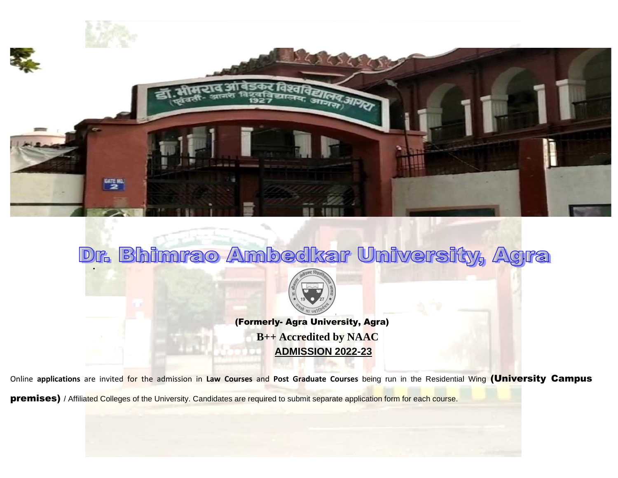

## Dr. Bhimrao Ambedkar University, Agra



(Formerly- Agra University, Agra) **B++ Accredited by NAAC ADMISSION 2022-23**

Online **applications** are invited for the admission in **Law Courses** and **Post Graduate Courses** being run in the Residential Wing (University Campus

premises) / Affiliated Colleges of the University. Candidates are required to submit separate application form for each course.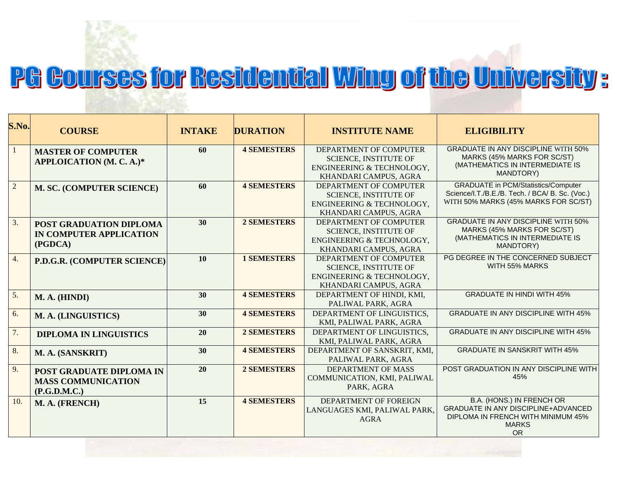## PG Courses for Residential Wing of the University:

| S.No.          | <b>COURSE</b>                                                                | <b>INTAKE</b> | <b>DURATION</b>    | <b>INSTITUTE NAME</b>                                                                                        | <b>ELIGIBILITY</b>                                                                                                                    |
|----------------|------------------------------------------------------------------------------|---------------|--------------------|--------------------------------------------------------------------------------------------------------------|---------------------------------------------------------------------------------------------------------------------------------------|
| 1              | <b>MASTER OF COMPUTER</b><br>APPLOICATION (M. C. A.)*                        | 60            | <b>4 SEMESTERS</b> | DEPARTMENT OF COMPUTER<br><b>SCIENCE, INSTITUTE OF</b><br>ENGINEERING & TECHNOLOGY,<br>KHANDARI CAMPUS, AGRA | <b>GRADUATE IN ANY DISCIPLINE WITH 50%</b><br>MARKS (45% MARKS FOR SC/ST)<br>(MATHEMATICS IN INTERMEDIATE IS<br>MANDTORY)             |
| $\overline{c}$ | M. SC. (COMPUTER SCIENCE)                                                    | 60            | <b>4 SEMESTERS</b> | DEPARTMENT OF COMPUTER<br><b>SCIENCE, INSTITUTE OF</b><br>ENGINEERING & TECHNOLOGY,<br>KHANDARI CAMPUS, AGRA | <b>GRADUATE in PCM/Statistics/Computer</b><br>Science/I.T./B.E./B. Tech. / BCA/ B. Sc. (Voc.)<br>WITH 50% MARKS (45% MARKS FOR SC/ST) |
| 3.             | <b>POST GRADUATION DIPLOMA</b><br>IN COMPUTER APPLICATION<br>(PGDCA)         | 30            | <b>2 SEMESTERS</b> | DEPARTMENT OF COMPUTER<br><b>SCIENCE, INSTITUTE OF</b><br>ENGINEERING & TECHNOLOGY,<br>KHANDARI CAMPUS, AGRA | <b>GRADUATE IN ANY DISCIPLINE WITH 50%</b><br>MARKS (45% MARKS FOR SC/ST)<br>(MATHEMATICS IN INTERMEDIATE IS<br><b>MANDTORY)</b>      |
| 4.             | P.D.G.R. (COMPUTER SCIENCE)                                                  | 10            | <b>1 SEMESTERS</b> | DEPARTMENT OF COMPUTER<br><b>SCIENCE, INSTITUTE OF</b><br>ENGINEERING & TECHNOLOGY,<br>KHANDARI CAMPUS, AGRA | PG DEGREE IN THE CONCERNED SUBJECT<br>WITH 55% MARKS                                                                                  |
| 5.             | M. A. (HINDI)                                                                | 30            | <b>4 SEMESTERS</b> | DEPARTMENT OF HINDI, KMI,<br>PALIWAL PARK, AGRA                                                              | <b>GRADUATE IN HINDI WITH 45%</b>                                                                                                     |
| 6.             | M. A. (LINGUISTICS)                                                          | 30            | <b>4 SEMESTERS</b> | DEPARTMENT OF LINGUISTICS,<br>KMI, PALIWAL PARK, AGRA                                                        | <b>GRADUATE IN ANY DISCIPLINE WITH 45%</b>                                                                                            |
| 7.             | <b>DIPLOMA IN LINGUISTICS</b>                                                | 20            | <b>2 SEMESTERS</b> | DEPARTMENT OF LINGUISTICS,<br>KMI, PALIWAL PARK, AGRA                                                        | <b>GRADUATE IN ANY DISCIPLINE WITH 45%</b>                                                                                            |
| 8.             | M. A. (SANSKRIT)                                                             | 30            | <b>4 SEMESTERS</b> | DEPARTMENT OF SANSKRIT, KMI,<br>PALIWAL PARK, AGRA                                                           | <b>GRADUATE IN SANSKRIT WITH 45%</b>                                                                                                  |
| 9.             | <b>POST GRADUATE DIPLOMA IN</b><br><b>MASS COMMUNICATION</b><br>(P.G.D.M.C.) | 20            | <b>2 SEMESTERS</b> | <b>DEPARTMENT OF MASS</b><br>COMMUNICATION, KMI, PALIWAL<br>PARK, AGRA                                       | POST GRADUATION IN ANY DISCIPLINE WITH<br>45%                                                                                         |
| 10.            | M. A. (FRENCH)                                                               | 15            | <b>4 SEMESTERS</b> | DEPARTMENT OF FOREIGN<br>LANGUAGES KMI, PALIWAL PARK,<br><b>AGRA</b>                                         | B.A. (HONS.) IN FRENCH OR<br><b>GRADUATE IN ANY DISCIPLINE+ADVANCED</b><br>DIPLOMA IN FRENCH WITH MINIMUM 45%<br><b>MARKS</b><br>OR   |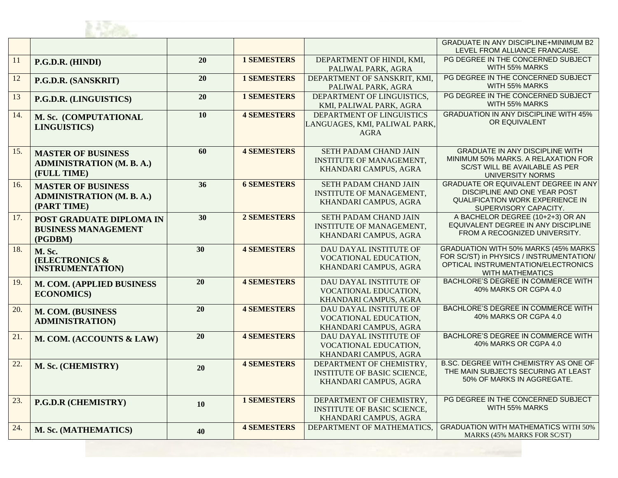

|     |                                                                              |                 |                    |                                                                                         | <b>GRADUATE IN ANY DISCIPLINE+MINIMUM B2</b><br>LEVEL FROM ALLIANCE FRANCAISE.                                                                             |  |
|-----|------------------------------------------------------------------------------|-----------------|--------------------|-----------------------------------------------------------------------------------------|------------------------------------------------------------------------------------------------------------------------------------------------------------|--|
| 11  | P.G.D.R. (HINDI)                                                             | 20              | <b>1 SEMESTERS</b> | DEPARTMENT OF HINDI, KMI,<br>PALIWAL PARK, AGRA                                         | PG DEGREE IN THE CONCERNED SUBJECT<br>WITH 55% MARKS                                                                                                       |  |
| 12  | P.G.D.R. (SANSKRIT)                                                          | 20              | <b>1 SEMESTERS</b> | DEPARTMENT OF SANSKRIT, KMI,<br>PALIWAL PARK, AGRA                                      | PG DEGREE IN THE CONCERNED SUBJECT<br>WITH 55% MARKS                                                                                                       |  |
| 13  | P.G.D.R. (LINGUISTICS)                                                       | 20              | <b>1 SEMESTERS</b> | DEPARTMENT OF LINGUISTICS,<br>KMI, PALIWAL PARK, AGRA                                   | PG DEGREE IN THE CONCERNED SUBJECT<br>WITH 55% MARKS                                                                                                       |  |
| 14. | M. Sc. (COMPUTATIONAL<br><b>LINGUISTICS)</b>                                 | 10              | <b>4 SEMESTERS</b> | DEPARTMENT OF LINGUISTICS<br>LANGUAGES, KMI, PALIWAL PARK,<br><b>AGRA</b>               | <b>GRADUATION IN ANY DISCIPLINE WITH 45%</b><br>OR EQUIVALENT                                                                                              |  |
| 15. | <b>MASTER OF BUSINESS</b><br><b>ADMINISTRATION (M. B. A.)</b><br>(FULL TIME) | 60              | <b>4 SEMESTERS</b> | SETH PADAM CHAND JAIN<br><b>INSTITUTE OF MANAGEMENT,</b><br>KHANDARI CAMPUS, AGRA       | <b>GRADUATE IN ANY DISCIPLINE WITH</b><br>MINIMUM 50% MARKS. A RELAXATION FOR<br>SC/ST WILL BE AVAILABLE AS PER<br>UNIVERSITY NORMS                        |  |
| 16. | <b>MASTER OF BUSINESS</b><br><b>ADMINISTRATION (M. B. A.)</b><br>(PART TIME) | 36              | <b>6 SEMESTERS</b> | SETH PADAM CHAND JAIN<br><b>INSTITUTE OF MANAGEMENT,</b><br>KHANDARI CAMPUS, AGRA       | <b>GRADUATE OR EQUIVALENT DEGREE IN ANY</b><br>DISCIPLINE AND ONE YEAR POST<br><b>QUALIFICATION WORK EXPERIENCE IN</b><br>SUPERVISORY CAPACITY.            |  |
| 17. | <b>POST GRADUATE DIPLOMA IN</b><br><b>BUSINESS MANAGEMENT</b><br>(PGDBM)     | 30 <sup>°</sup> | 2 SEMESTERS        | SETH PADAM CHAND JAIN<br><b>INSTITUTE OF MANAGEMENT,</b><br>KHANDARI CAMPUS, AGRA       | A BACHELOR DEGREE (10+2+3) OR AN<br>EQUIVALENT DEGREE IN ANY DISCIPLINE<br>FROM A RECOGNIZED UNIVERSITY.                                                   |  |
| 18. | M. Sc.<br><b>(ELECTRONICS &amp;</b><br><b>INSTRUMENTATION)</b>               | 30              | <b>4 SEMESTERS</b> | DAU DAYAL INSTITUTE OF<br>VOCATIONAL EDUCATION,<br>KHANDARI CAMPUS, AGRA                | <b>GRADUATION WITH 50% MARKS (45% MARKS)</b><br>FOR SC/ST) in PHYSICS / INSTRUMENTATION/<br>OPTICAL INSTRUMENTATION/ELECTRONICS<br><b>WITH MATHEMATICS</b> |  |
| 19. | M. COM. (APPLIED BUSINESS<br><b>ECONOMICS</b> )                              | 20              | <b>4 SEMESTERS</b> | DAU DAYAL INSTITUTE OF<br>VOCATIONAL EDUCATION,<br>KHANDARI CAMPUS, AGRA                | BACHLORE'S DEGREE IN COMMERCE WITH<br>40% MARKS OR CGPA 4.0                                                                                                |  |
| 20. | M. COM. (BUSINESS<br><b>ADMINISTRATION)</b>                                  | 20              | <b>4 SEMESTERS</b> | DAU DAYAL INSTITUTE OF<br>VOCATIONAL EDUCATION,<br>KHANDARI CAMPUS, AGRA                | BACHLORE'S DEGREE IN COMMERCE WITH<br>40% MARKS OR CGPA 4.0                                                                                                |  |
| 21. | M. COM. (ACCOUNTS & LAW)                                                     | 20              | <b>4 SEMESTERS</b> | DAU DAYAL INSTITUTE OF<br>VOCATIONAL EDUCATION,<br>KHANDARI CAMPUS, AGRA                | BACHLORE'S DEGREE IN COMMERCE WITH<br>40% MARKS OR CGPA 4.0                                                                                                |  |
| 22. | M. Sc. (CHEMISTRY)                                                           | 20              | <b>4 SEMESTERS</b> | DEPARTMENT OF CHEMISTRY,<br><b>INSTITUTE OF BASIC SCIENCE,</b><br>KHANDARI CAMPUS, AGRA | B.SC. DEGREE WITH CHEMISTRY AS ONE OF<br>THE MAIN SUBJECTS SECURING AT LEAST<br>50% OF MARKS IN AGGREGATE.                                                 |  |
| 23. | P.G.D.R (CHEMISTRY)                                                          | 10              | <b>1 SEMESTERS</b> | DEPARTMENT OF CHEMISTRY,<br><b>INSTITUTE OF BASIC SCIENCE,</b><br>KHANDARI CAMPUS, AGRA | PG DEGREE IN THE CONCERNED SUBJECT<br>WITH 55% MARKS                                                                                                       |  |
| 24. | M. Sc. (MATHEMATICS)                                                         | 40              | <b>4 SEMESTERS</b> | DEPARTMENT OF MATHEMATICS,                                                              | <b>GRADUATION WITH MATHEMATICS WITH 50%</b><br>MARKS (45% MARKS FOR SC/ST)                                                                                 |  |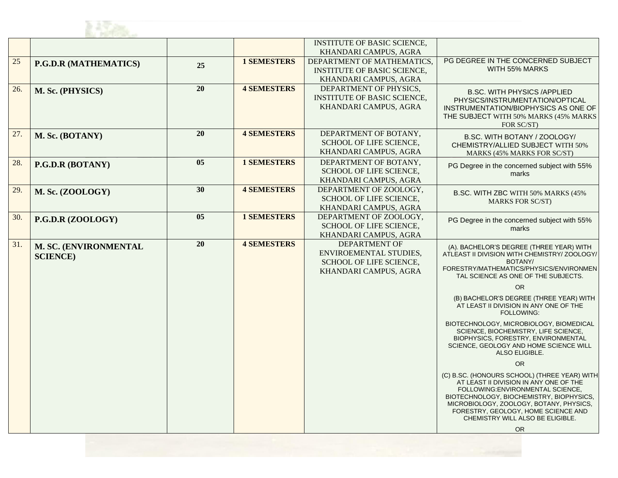

|     |                              |    |                    | <b>INSTITUTE OF BASIC SCIENCE,</b>                |                                                                                   |
|-----|------------------------------|----|--------------------|---------------------------------------------------|-----------------------------------------------------------------------------------|
|     |                              |    |                    | KHANDARI CAMPUS, AGRA                             |                                                                                   |
| 25  | <b>P.G.D.R (MATHEMATICS)</b> | 25 | <b>1 SEMESTERS</b> | DEPARTMENT OF MATHEMATICS,                        | PG DEGREE IN THE CONCERNED SUBJECT                                                |
|     |                              |    |                    | INSTITUTE OF BASIC SCIENCE,                       | WITH 55% MARKS                                                                    |
|     |                              |    |                    | KHANDARI CAMPUS, AGRA                             |                                                                                   |
| 26. | M. Sc. (PHYSICS)             | 20 | <b>4 SEMESTERS</b> | DEPARTMENT OF PHYSICS,                            | <b>B.SC. WITH PHYSICS /APPLIED</b>                                                |
|     |                              |    |                    | <b>INSTITUTE OF BASIC SCIENCE,</b>                | PHYSICS/INSTRUMENTATION/OPTICAL                                                   |
|     |                              |    |                    | KHANDARI CAMPUS, AGRA                             | INSTRUMENTATION/BIOPHYSICS AS ONE OF                                              |
|     |                              |    |                    |                                                   | THE SUBJECT WITH 50% MARKS (45% MARKS)                                            |
|     |                              |    |                    |                                                   | FOR SC/ST)                                                                        |
| 27. | M. Sc. (BOTANY)              | 20 | <b>4 SEMESTERS</b> | DEPARTMENT OF BOTANY,                             | B.SC. WITH BOTANY / ZOOLOGY/                                                      |
|     |                              |    |                    | SCHOOL OF LIFE SCIENCE,                           | CHEMISTRY/ALLIED SUBJECT WITH 50%                                                 |
|     |                              |    |                    | KHANDARI CAMPUS, AGRA                             | MARKS (45% MARKS FOR SC/ST)                                                       |
| 28. | P.G.D.R (BOTANY)             | 05 | <b>1 SEMESTERS</b> | DEPARTMENT OF BOTANY.                             | PG Degree in the concerned subject with 55%                                       |
|     |                              |    |                    | SCHOOL OF LIFE SCIENCE,                           | marks                                                                             |
|     |                              | 30 | <b>4 SEMESTERS</b> | KHANDARI CAMPUS, AGRA                             |                                                                                   |
| 29. | M. Sc. (ZOOLOGY)             |    |                    | DEPARTMENT OF ZOOLOGY,<br>SCHOOL OF LIFE SCIENCE, | B.SC. WITH ZBC WITH 50% MARKS (45%                                                |
|     |                              |    |                    | KHANDARI CAMPUS, AGRA                             | <b>MARKS FOR SC/ST)</b>                                                           |
| 30. |                              | 05 | <b>1 SEMESTERS</b> | DEPARTMENT OF ZOOLOGY,                            |                                                                                   |
|     | P.G.D.R (ZOOLOGY)            |    |                    | SCHOOL OF LIFE SCIENCE,                           | PG Degree in the concerned subject with 55%                                       |
|     |                              |    |                    | KHANDARI CAMPUS, AGRA                             | marks                                                                             |
| 31. | M. SC. (ENVIRONMENTAL        | 20 | <b>4 SEMESTERS</b> | <b>DEPARTMENT OF</b>                              | (A). BACHELOR'S DEGREE (THREE YEAR) WITH                                          |
|     | <b>SCIENCE</b> )             |    |                    | ENVIROEMENTAL STUDIES,                            | ATLEAST II DIVISION WITH CHEMISTRY/ ZOOLOGY/                                      |
|     |                              |    |                    | SCHOOL OF LIFE SCIENCE,                           | BOTANY/                                                                           |
|     |                              |    |                    | KHANDARI CAMPUS, AGRA                             | FORESTRY/MATHEMATICS/PHYSICS/ENVIRONMEN<br>TAL SCIENCE AS ONE OF THE SUBJECTS.    |
|     |                              |    |                    |                                                   | <b>OR</b>                                                                         |
|     |                              |    |                    |                                                   | (B) BACHELOR'S DEGREE (THREE YEAR) WITH<br>AT LEAST II DIVISION IN ANY ONE OF THE |
|     |                              |    |                    |                                                   | <b>FOLLOWING:</b>                                                                 |
|     |                              |    |                    |                                                   | BIOTECHNOLOGY, MICROBIOLOGY, BIOMEDICAL                                           |
|     |                              |    |                    |                                                   | SCIENCE, BIOCHEMISTRY, LIFE SCIENCE,<br>BIOPHYSICS, FORESTRY, ENVIRONMENTAL       |
|     |                              |    |                    |                                                   | SCIENCE, GEOLOGY AND HOME SCIENCE WILL                                            |
|     |                              |    |                    |                                                   | ALSO ELIGIBLE.                                                                    |
|     |                              |    |                    |                                                   | OR                                                                                |
|     |                              |    |                    |                                                   | (C) B.SC. (HONOURS SCHOOL) (THREE YEAR) WITH                                      |
|     |                              |    |                    |                                                   | AT LEAST II DIVISION IN ANY ONE OF THE                                            |
|     |                              |    |                    |                                                   | FOLLOWING: ENVIRONMENTAL SCIENCE,<br>BIOTECHNOLOGY, BIOCHEMISTRY, BIOPHYSICS,     |
|     |                              |    |                    |                                                   | MICROBIOLOGY, ZOOLOGY, BOTANY, PHYSICS,                                           |
|     |                              |    |                    |                                                   | FORESTRY, GEOLOGY, HOME SCIENCE AND                                               |
|     |                              |    |                    |                                                   | CHEMISTRY WILL ALSO BE ELIGIBLE.                                                  |
|     |                              |    |                    |                                                   | <b>OR</b>                                                                         |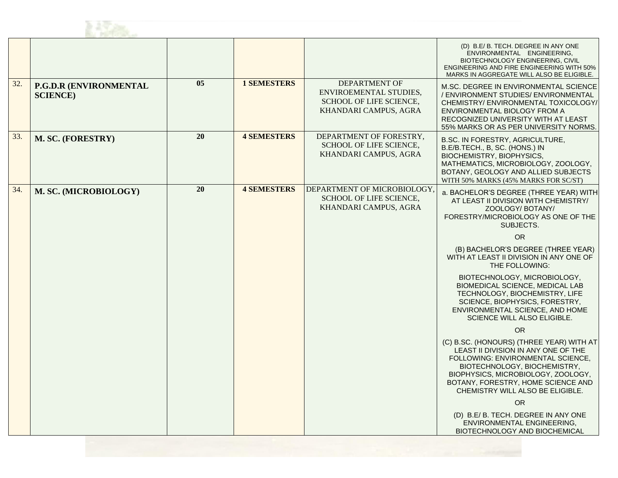

|     |                                            |    |                    |                                                                                                           | (D) B.E/B. TECH. DEGREE IN ANY ONE<br>ENVIRONMENTAL ENGINEERING,<br>BIOTECHNOLOGY ENGINEERING, CIVIL<br><b>ENGINEERING AND FIRE ENGINEERING WITH 50%</b><br>MARKS IN AGGREGATE WILL ALSO BE ELIGIBLE.                                                                |
|-----|--------------------------------------------|----|--------------------|-----------------------------------------------------------------------------------------------------------|----------------------------------------------------------------------------------------------------------------------------------------------------------------------------------------------------------------------------------------------------------------------|
| 32. | P.G.D.R (ENVIRONMENTAL<br><b>SCIENCE</b> ) | 05 | <b>1 SEMESTERS</b> | <b>DEPARTMENT OF</b><br>ENVIROEMENTAL STUDIES,<br><b>SCHOOL OF LIFE SCIENCE,</b><br>KHANDARI CAMPUS, AGRA | M.SC. DEGREE IN ENVIRONMENTAL SCIENCE<br>/ ENVIRONMENT STUDIES/ ENVIRONMENTAL<br>CHEMISTRY/ENVIRONMENTAL TOXICOLOGY/<br>ENVIRONMENTAL BIOLOGY FROM A<br>RECOGNIZED UNIVERSITY WITH AT LEAST<br>55% MARKS OR AS PER UNIVERSITY NORMS.                                 |
| 33. | M. SC. (FORESTRY)                          | 20 | <b>4 SEMESTERS</b> | DEPARTMENT OF FORESTRY,<br>SCHOOL OF LIFE SCIENCE,<br>KHANDARI CAMPUS, AGRA                               | B.SC. IN FORESTRY, AGRICULTURE,<br>B.E/B.TECH., B, SC. (HONS.) IN<br>BIOCHEMISTRY, BIOPHYSICS,<br>MATHEMATICS, MICROBIOLOGY, ZOOLOGY,<br>BOTANY, GEOLOGY AND ALLIED SUBJECTS<br>WITH 50% MARKS (45% MARKS FOR SC/ST)                                                 |
| 34. | M. SC. (MICROBIOLOGY)                      | 20 | <b>4 SEMESTERS</b> | DEPARTMENT OF MICROBIOLOGY,<br>SCHOOL OF LIFE SCIENCE,<br>KHANDARI CAMPUS, AGRA                           | a. BACHELOR'S DEGREE (THREE YEAR) WITH<br>AT LEAST II DIVISION WITH CHEMISTRY/<br>ZOOLOGY/BOTANY/<br>FORESTRY/MICROBIOLOGY AS ONE OF THE<br>SUBJECTS.                                                                                                                |
|     |                                            |    |                    |                                                                                                           | <b>OR</b>                                                                                                                                                                                                                                                            |
|     |                                            |    |                    |                                                                                                           | (B) BACHELOR'S DEGREE (THREE YEAR)<br>WITH AT LEAST II DIVISION IN ANY ONE OF<br>THE FOLLOWING:                                                                                                                                                                      |
|     |                                            |    |                    |                                                                                                           | BIOTECHNOLOGY, MICROBIOLOGY,<br>BIOMEDICAL SCIENCE, MEDICAL LAB<br>TECHNOLOGY, BIOCHEMISTRY, LIFE<br>SCIENCE, BIOPHYSICS, FORESTRY,<br>ENVIRONMENTAL SCIENCE, AND HOME<br>SCIENCE WILL ALSO ELIGIBLE.                                                                |
|     |                                            |    |                    |                                                                                                           | <b>OR</b>                                                                                                                                                                                                                                                            |
|     |                                            |    |                    |                                                                                                           | (C) B.SC. (HONOURS) (THREE YEAR) WITH AT<br>LEAST II DIVISION IN ANY ONE OF THE<br>FOLLOWING: ENVIRONMENTAL SCIENCE.<br>BIOTECHNOLOGY, BIOCHEMISTRY,<br>BIOPHYSICS, MICROBIOLOGY, ZOOLOGY,<br>BOTANY, FORESTRY, HOME SCIENCE AND<br>CHEMISTRY WILL ALSO BE ELIGIBLE. |
|     |                                            |    |                    |                                                                                                           | OR.                                                                                                                                                                                                                                                                  |
|     |                                            |    |                    |                                                                                                           | (D) B.E/ B. TECH. DEGREE IN ANY ONE<br>ENVIRONMENTAL ENGINEERING,<br>BIOTECHNOLOGY AND BIOCHEMICAL                                                                                                                                                                   |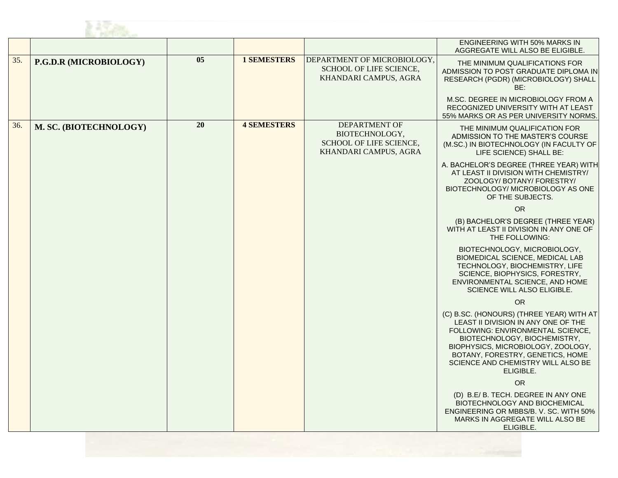

|     |                        |    |                    |                                                                                            | ENGINEERING WITH 50% MARKS IN<br>AGGREGATE WILL ALSO BE ELIGIBLE.                                                                                                                                                                                                                 |
|-----|------------------------|----|--------------------|--------------------------------------------------------------------------------------------|-----------------------------------------------------------------------------------------------------------------------------------------------------------------------------------------------------------------------------------------------------------------------------------|
| 35. | P.G.D.R (MICROBIOLOGY) | 05 | <b>1 SEMESTERS</b> | DEPARTMENT OF MICROBIOLOGY,<br>SCHOOL OF LIFE SCIENCE,<br>KHANDARI CAMPUS, AGRA            | THE MINIMUM QUALIFICATIONS FOR<br>ADMISSION TO POST GRADUATE DIPLOMA IN<br>RESEARCH (PGDR) (MICROBIOLOGY) SHALL<br>BE:                                                                                                                                                            |
|     |                        |    |                    |                                                                                            | M.SC. DEGREE IN MICROBIOLOGY FROM A<br>RECOGNIZED UNIVERSITY WITH AT LEAST<br>55% MARKS OR AS PER UNIVERSITY NORMS.                                                                                                                                                               |
| 36. | M. SC. (BIOTECHNOLOGY) | 20 | <b>4 SEMESTERS</b> | <b>DEPARTMENT OF</b><br>BIOTECHNOLOGY,<br>SCHOOL OF LIFE SCIENCE,<br>KHANDARI CAMPUS, AGRA | THE MINIMUM QUALIFICATION FOR<br>ADMISSION TO THE MASTER'S COURSE<br>(M.SC.) IN BIOTECHNOLOGY (IN FACULTY OF<br>LIFE SCIENCE) SHALL BE:                                                                                                                                           |
|     |                        |    |                    |                                                                                            | A. BACHELOR'S DEGREE (THREE YEAR) WITH<br>AT LEAST II DIVISION WITH CHEMISTRY/<br>ZOOLOGY/BOTANY/FORESTRY/<br>BIOTECHNOLOGY/ MICROBIOLOGY AS ONE<br>OF THE SUBJECTS.                                                                                                              |
|     |                        |    |                    |                                                                                            | <b>OR</b>                                                                                                                                                                                                                                                                         |
|     |                        |    |                    |                                                                                            | (B) BACHELOR'S DEGREE (THREE YEAR)<br>WITH AT LEAST II DIVISION IN ANY ONE OF<br>THE FOLLOWING:                                                                                                                                                                                   |
|     |                        |    |                    |                                                                                            | BIOTECHNOLOGY, MICROBIOLOGY,<br>BIOMEDICAL SCIENCE, MEDICAL LAB<br>TECHNOLOGY, BIOCHEMISTRY, LIFE<br>SCIENCE, BIOPHYSICS, FORESTRY,<br>ENVIRONMENTAL SCIENCE, AND HOME<br>SCIENCE WILL ALSO ELIGIBLE.                                                                             |
|     |                        |    |                    |                                                                                            | <b>OR</b>                                                                                                                                                                                                                                                                         |
|     |                        |    |                    |                                                                                            | (C) B.SC. (HONOURS) (THREE YEAR) WITH AT<br>LEAST II DIVISION IN ANY ONE OF THE<br>FOLLOWING: ENVIRONMENTAL SCIENCE.<br>BIOTECHNOLOGY, BIOCHEMISTRY,<br>BIOPHYSICS, MICROBIOLOGY, ZOOLOGY,<br>BOTANY, FORESTRY, GENETICS, HOME<br>SCIENCE AND CHEMISTRY WILL ALSO BE<br>ELIGIBLE. |
|     |                        |    |                    |                                                                                            | <b>OR</b>                                                                                                                                                                                                                                                                         |
|     |                        |    |                    |                                                                                            | (D) B.E/ B. TECH. DEGREE IN ANY ONE<br>BIOTECHNOLOGY AND BIOCHEMICAL<br>ENGINEERING OR MBBS/B, V, SC, WITH 50%<br>MARKS IN AGGREGATE WILL ALSO BE<br>ELIGIBLE.                                                                                                                    |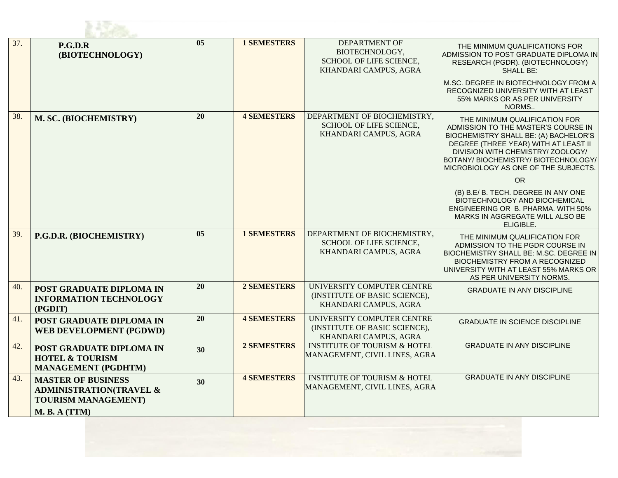| 37. | P.G.D.R<br>(BIOTECHNOLOGY)                                                                    | $\overline{05}$ | <b>1 SEMESTERS</b> | <b>DEPARTMENT OF</b><br>BIOTECHNOLOGY,<br>SCHOOL OF LIFE SCIENCE,<br>KHANDARI CAMPUS, AGRA | THE MINIMUM QUALIFICATIONS FOR<br>ADMISSION TO POST GRADUATE DIPLOMA IN<br>RESEARCH (PGDR). (BIOTECHNOLOGY)<br><b>SHALL BE:</b>                                                                                                                                            |  |  |
|-----|-----------------------------------------------------------------------------------------------|-----------------|--------------------|--------------------------------------------------------------------------------------------|----------------------------------------------------------------------------------------------------------------------------------------------------------------------------------------------------------------------------------------------------------------------------|--|--|
|     |                                                                                               |                 |                    |                                                                                            | M.SC. DEGREE IN BIOTECHNOLOGY FROM A<br>RECOGNIZED UNIVERSITY WITH AT LEAST<br>55% MARKS OR AS PER UNIVERSITY<br>NORMS                                                                                                                                                     |  |  |
| 38. | M. SC. (BIOCHEMISTRY)                                                                         | 20              | <b>4 SEMESTERS</b> | DEPARTMENT OF BIOCHEMISTRY,<br>SCHOOL OF LIFE SCIENCE,<br>KHANDARI CAMPUS, AGRA            | THE MINIMUM QUALIFICATION FOR<br>ADMISSION TO THE MASTER'S COURSE IN<br>BIOCHEMISTRY SHALL BE: (A) BACHELOR'S<br>DEGREE (THREE YEAR) WITH AT LEAST II<br>DIVISION WITH CHEMISTRY/ ZOOLOGY/<br>BOTANY/ BIOCHEMISTRY/ BIOTECHNOLOGY/<br>MICROBIOLOGY AS ONE OF THE SUBJECTS. |  |  |
|     |                                                                                               |                 |                    |                                                                                            | <b>OR</b>                                                                                                                                                                                                                                                                  |  |  |
|     |                                                                                               |                 |                    |                                                                                            | (B) B.E/ B. TECH. DEGREE IN ANY ONE<br>BIOTECHNOLOGY AND BIOCHEMICAL<br>ENGINEERING OR B. PHARMA. WITH 50%<br>MARKS IN AGGREGATE WILL ALSO BE<br>ELIGIBLE.                                                                                                                 |  |  |
| 39. | P.G.D.R. (BIOCHEMISTRY)                                                                       | 05              | <b>1 SEMESTERS</b> | DEPARTMENT OF BIOCHEMISTRY,<br>SCHOOL OF LIFE SCIENCE,<br>KHANDARI CAMPUS, AGRA            | THE MINIMUM QUALIFICATION FOR<br>ADMISSION TO THE PGDR COURSE IN<br>BIOCHEMISTRY SHALL BE: M.SC. DEGREE IN<br><b>BIOCHEMISTRY FROM A RECOGNIZED</b><br>UNIVERSITY WITH AT LEAST 55% MARKS OR<br>AS PER UNIVERSITY NORMS.                                                   |  |  |
| 40. | POST GRADUATE DIPLOMA IN<br><b>INFORMATION TECHNOLOGY</b><br>(PGDIT)                          | 20              | <b>2 SEMESTERS</b> | UNIVERSITY COMPUTER CENTRE<br>(INSTITUTE OF BASIC SCIENCE),<br>KHANDARI CAMPUS, AGRA       | <b>GRADUATE IN ANY DISCIPLINE</b>                                                                                                                                                                                                                                          |  |  |
| 41. | POST GRADUATE DIPLOMA IN<br><b>WEB DEVELOPMENT (PGDWD)</b>                                    | $\overline{20}$ | <b>4 SEMESTERS</b> | UNIVERSITY COMPUTER CENTRE<br>(INSTITUTE OF BASIC SCIENCE),<br>KHANDARI CAMPUS, AGRA       | <b>GRADUATE IN SCIENCE DISCIPLINE</b>                                                                                                                                                                                                                                      |  |  |
| 42. | POST GRADUATE DIPLOMA IN<br><b>HOTEL &amp; TOURISM</b><br><b>MANAGEMENT (PGDHTM)</b>          | 30              | 2 SEMESTERS        | <b>INSTITUTE OF TOURISM &amp; HOTEL</b><br>MANAGEMENT, CIVIL LINES, AGRA                   | <b>GRADUATE IN ANY DISCIPLINE</b>                                                                                                                                                                                                                                          |  |  |
| 43. | <b>MASTER OF BUSINESS</b><br><b>ADMINISTRATION(TRAVEL &amp;</b><br><b>TOURISM MANAGEMENT)</b> | 30              | <b>4 SEMESTERS</b> | <b>INSTITUTE OF TOURISM &amp; HOTEL</b><br>MANAGEMENT, CIVIL LINES, AGRA                   | <b>GRADUATE IN ANY DISCIPLINE</b>                                                                                                                                                                                                                                          |  |  |
|     | M. B. A (TTM)                                                                                 |                 |                    |                                                                                            |                                                                                                                                                                                                                                                                            |  |  |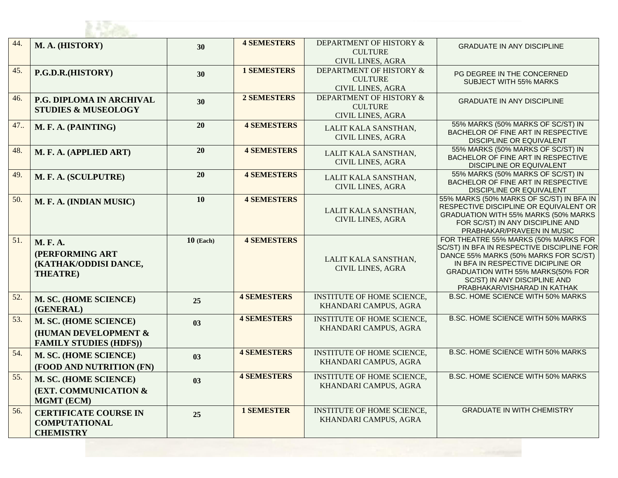| 44. | M. A. (HISTORY)                                                                 | 30          | <b>4 SEMESTERS</b> | DEPARTMENT OF HISTORY &<br><b>CULTURE</b><br><b>CIVIL LINES, AGRA</b> | <b>GRADUATE IN ANY DISCIPLINE</b>                                                                                                                                                                                                                                     |  |  |
|-----|---------------------------------------------------------------------------------|-------------|--------------------|-----------------------------------------------------------------------|-----------------------------------------------------------------------------------------------------------------------------------------------------------------------------------------------------------------------------------------------------------------------|--|--|
| 45. | P.G.D.R.(HISTORY)                                                               | 30          | <b>1 SEMESTERS</b> | DEPARTMENT OF HISTORY &<br><b>CULTURE</b><br><b>CIVIL LINES, AGRA</b> | PG DEGREE IN THE CONCERNED<br><b>SUBJECT WITH 55% MARKS</b>                                                                                                                                                                                                           |  |  |
| 46. | P.G. DIPLOMA IN ARCHIVAL<br><b>STUDIES &amp; MUSEOLOGY</b>                      | 30          | <b>2 SEMESTERS</b> | DEPARTMENT OF HISTORY &<br><b>CULTURE</b><br><b>CIVIL LINES, AGRA</b> | <b>GRADUATE IN ANY DISCIPLINE</b>                                                                                                                                                                                                                                     |  |  |
| 47  | M. F. A. (PAINTING)                                                             | 20          | <b>4 SEMESTERS</b> | LALIT KALA SANSTHAN,<br><b>CIVIL LINES, AGRA</b>                      | 55% MARKS (50% MARKS OF SC/ST) IN<br>BACHELOR OF FINE ART IN RESPECTIVE<br>DISCIPLINE OR EQUIVALENT                                                                                                                                                                   |  |  |
| 48. | M. F. A. (APPLIED ART)                                                          | 20          | <b>4 SEMESTERS</b> | LALIT KALA SANSTHAN,<br><b>CIVIL LINES, AGRA</b>                      | 55% MARKS (50% MARKS OF SC/ST) IN<br>BACHELOR OF FINE ART IN RESPECTIVE<br>DISCIPLINE OR EQUIVALENT                                                                                                                                                                   |  |  |
| 49. | M. F. A. (SCULPUTRE)                                                            | 20          | <b>4 SEMESTERS</b> | LALIT KALA SANSTHAN,<br><b>CIVIL LINES, AGRA</b>                      | 55% MARKS (50% MARKS OF SC/ST) IN<br>BACHELOR OF FINE ART IN RESPECTIVE<br><b>DISCIPLINE OR EQUIVALENT</b>                                                                                                                                                            |  |  |
| 50. | M. F. A. (INDIAN MUSIC)                                                         | 10          | <b>4 SEMESTERS</b> | LALIT KALA SANSTHAN,<br><b>CIVIL LINES, AGRA</b>                      | 55% MARKS (50% MARKS OF SC/ST) IN BFA IN<br>RESPECTIVE DISCIPLINE OR EQUIVALENT OR<br>GRADUATION WITH 55% MARKS (50% MARKS<br>FOR SC/ST) IN ANY DISCIPLINE AND<br>PRABHAKAR/PRAVEEN IN MUSIC                                                                          |  |  |
| 51. | <b>M. F. A.</b><br>(PERFORMING ART<br>(KATHAK/ODDISI DANCE,<br><b>THEATRE</b> ) | $10$ (Each) | <b>4 SEMESTERS</b> | LALIT KALA SANSTHAN,<br><b>CIVIL LINES, AGRA</b>                      | FOR THEATRE 55% MARKS (50% MARKS FOR<br>SC/ST) IN BFA IN RESPECTIVE DISCIPLINE FOR<br>DANCE 55% MARKS (50% MARKS FOR SC/ST)<br>IN BFA IN RESPECTIVE DICIPLINE OR<br>GRADUATION WITH 55% MARKS(50% FOR<br>SC/ST) IN ANY DISCIPLINE AND<br>PRABHAKAR/VISHARAD IN KATHAK |  |  |
| 52. | M. SC. (HOME SCIENCE)<br>(GENERAL)                                              | 25          | <b>4 SEMESTERS</b> | <b>INSTITUTE OF HOME SCIENCE,</b><br>KHANDARI CAMPUS, AGRA            | B.SC. HOME SCIENCE WITH 50% MARKS                                                                                                                                                                                                                                     |  |  |
| 53. | M. SC. (HOME SCIENCE)<br>(HUMAN DEVELOPMENT &<br><b>FAMILY STUDIES (HDFS))</b>  | 03          | <b>4 SEMESTERS</b> | <b>INSTITUTE OF HOME SCIENCE,</b><br>KHANDARI CAMPUS, AGRA            | B.SC. HOME SCIENCE WITH 50% MARKS                                                                                                                                                                                                                                     |  |  |
| 54. | M. SC. (HOME SCIENCE)<br>(FOOD AND NUTRITION (FN)                               | 03          | <b>4 SEMESTERS</b> | <b>INSTITUTE OF HOME SCIENCE,</b><br>KHANDARI CAMPUS, AGRA            | <b>B.SC. HOME SCIENCE WITH 50% MARKS</b>                                                                                                                                                                                                                              |  |  |
| 55. | M. SC. (HOME SCIENCE)<br><b>(EXT. COMMUNICATION &amp;</b><br><b>MGMT (ECM)</b>  | 03          | <b>4 SEMESTERS</b> | <b>INSTITUTE OF HOME SCIENCE,</b><br>KHANDARI CAMPUS, AGRA            | B.SC. HOME SCIENCE WITH 50% MARKS                                                                                                                                                                                                                                     |  |  |
| 56. | <b>CERTIFICATE COURSE IN</b><br><b>COMPUTATIONAL</b><br><b>CHEMISTRY</b>        | 25          | <b>1 SEMESTER</b>  | INSTITUTE OF HOME SCIENCE,<br>KHANDARI CAMPUS, AGRA                   | <b>GRADUATE IN WITH CHEMISTRY</b>                                                                                                                                                                                                                                     |  |  |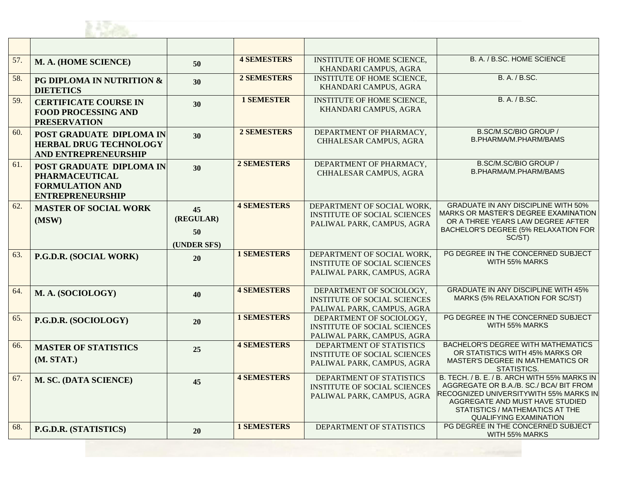

| 57. | M. A. (HOME SCIENCE)                                                                                   | 50                                   | <b>4 SEMESTERS</b> | <b>INSTITUTE OF HOME SCIENCE,</b><br>KHANDARI CAMPUS, AGRA                                      | B. A. / B.SC. HOME SCIENCE                                                                                                                                                                                                               |
|-----|--------------------------------------------------------------------------------------------------------|--------------------------------------|--------------------|-------------------------------------------------------------------------------------------------|------------------------------------------------------------------------------------------------------------------------------------------------------------------------------------------------------------------------------------------|
| 58. | PG DIPLOMA IN NUTRITION &<br><b>DIETETICS</b>                                                          | 30                                   | 2 SEMESTERS        | <b>INSTITUTE OF HOME SCIENCE,</b><br>KHANDARI CAMPUS, AGRA                                      | B. A. / B.SC.                                                                                                                                                                                                                            |
| 59. | <b>CERTIFICATE COURSE IN</b><br><b>FOOD PROCESSING AND</b><br><b>PRESERVATION</b>                      | 30                                   | <b>1 SEMESTER</b>  | <b>INSTITUTE OF HOME SCIENCE,</b><br>KHANDARI CAMPUS, AGRA                                      | B. A. / B.SC.                                                                                                                                                                                                                            |
| 60. | <b>POST GRADUATE DIPLOMA IN</b><br><b>HERBAL DRUG TECHNOLOGY</b><br>AND ENTREPRENEURSHIP               | 30                                   | 2 SEMESTERS        | DEPARTMENT OF PHARMACY,<br>CHHALESAR CAMPUS, AGRA                                               | B.SC/M.SC/BIO GROUP /<br>B.PHARMA/M.PHARM/BAMS                                                                                                                                                                                           |
| 61. | POST GRADUATE DIPLOMA IN<br><b>PHARMACEUTICAL</b><br><b>FORMULATION AND</b><br><b>ENTREPRENEURSHIP</b> | 30                                   | 2 SEMESTERS        | DEPARTMENT OF PHARMACY,<br>CHHALESAR CAMPUS, AGRA                                               | B.SC/M.SC/BIO GROUP /<br>B.PHARMA/M.PHARM/BAMS                                                                                                                                                                                           |
| 62. | <b>MASTER OF SOCIAL WORK</b><br>(MSW)                                                                  | 45<br>(REGULAR)<br>50<br>(UNDER SFS) | <b>4 SEMESTERS</b> | DEPARTMENT OF SOCIAL WORK,<br><b>INSTITUTE OF SOCIAL SCIENCES</b><br>PALIWAL PARK, CAMPUS, AGRA | <b>GRADUATE IN ANY DISCIPLINE WITH 50%</b><br>MARKS OR MASTER'S DEGREE EXAMINATION<br>OR A THREE YEARS LAW DEGREE AFTER<br>BACHELOR'S DEGREE (5% RELAXATION FOR<br>SC/ST)                                                                |
| 63. | P.G.D.R. (SOCIAL WORK)                                                                                 | 20                                   | <b>1 SEMESTERS</b> | DEPARTMENT OF SOCIAL WORK,<br><b>INSTITUTE OF SOCIAL SCIENCES</b><br>PALIWAL PARK, CAMPUS, AGRA | PG DEGREE IN THE CONCERNED SUBJECT<br>WITH 55% MARKS                                                                                                                                                                                     |
| 64. | M. A. (SOCIOLOGY)                                                                                      | 40                                   | <b>4 SEMESTERS</b> | DEPARTMENT OF SOCIOLOGY,<br><b>INSTITUTE OF SOCIAL SCIENCES</b><br>PALIWAL PARK, CAMPUS, AGRA   | <b>GRADUATE IN ANY DISCIPLINE WITH 45%</b><br>MARKS (5% RELAXATION FOR SC/ST)                                                                                                                                                            |
| 65. | P.G.D.R. (SOCIOLOGY)                                                                                   | 20                                   | <b>1 SEMESTERS</b> | DEPARTMENT OF SOCIOLOGY,<br><b>INSTITUTE OF SOCIAL SCIENCES</b><br>PALIWAL PARK, CAMPUS, AGRA   | PG DEGREE IN THE CONCERNED SUBJECT<br>WITH 55% MARKS                                                                                                                                                                                     |
| 66. | <b>MASTER OF STATISTICS</b><br>(M. STAT.)                                                              | 25                                   | <b>4 SEMESTERS</b> | DEPARTMENT OF STATISTICS<br><b>INSTITUTE OF SOCIAL SCIENCES</b><br>PALIWAL PARK, CAMPUS, AGRA   | <b>BACHELOR'S DEGREE WITH MATHEMATICS</b><br>OR STATISTICS WITH 45% MARKS OR<br><b>MASTER'S DEGREE IN MATHEMATICS OR</b><br>STATISTICS.                                                                                                  |
| 67. | M. SC. (DATA SCIENCE)                                                                                  | 45                                   | <b>4 SEMESTERS</b> | DEPARTMENT OF STATISTICS<br><b>INSTITUTE OF SOCIAL SCIENCES</b><br>PALIWAL PARK, CAMPUS, AGRA   | B. TECH. / B. E. / B. ARCH WITH 55% MARKS IN<br>AGGREGATE OR B.A./B. SC./ BCA/ BIT FROM<br>RECOGNIZED UNIVERSITYWITH 55% MARKS IN<br>AGGREGATE AND MUST HAVE STUDIED<br>STATISTICS / MATHEMATICS AT THE<br><b>QUALIFYING EXAMINATION</b> |
| 68. | P.G.D.R. (STATISTICS)                                                                                  | 20                                   | <b>1 SEMESTERS</b> | DEPARTMENT OF STATISTICS                                                                        | PG DEGREE IN THE CONCERNED SUBJECT<br>WITH 55% MARKS                                                                                                                                                                                     |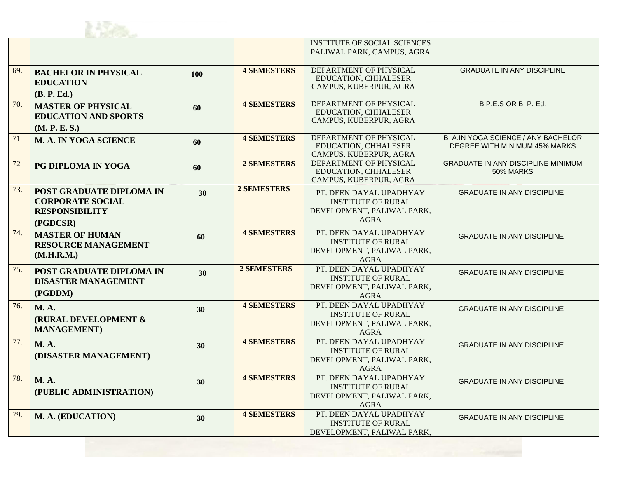

| <b>INSTITUTE OF SOCIAL SCIENCES</b>                                                       |                                            |
|-------------------------------------------------------------------------------------------|--------------------------------------------|
| PALIWAL PARK, CAMPUS, AGRA                                                                |                                            |
|                                                                                           |                                            |
| DEPARTMENT OF PHYSICAL<br><b>4 SEMESTERS</b><br>69.<br><b>BACHELOR IN PHYSICAL</b><br>100 | <b>GRADUATE IN ANY DISCIPLINE</b>          |
| <b>EDUCATION, CHHALESER</b><br><b>EDUCATION</b><br>CAMPUS, KUBERPUR, AGRA                 |                                            |
| (B. P. Ed.)                                                                               |                                            |
| DEPARTMENT OF PHYSICAL<br><b>4 SEMESTERS</b><br>70.<br><b>MASTER OF PHYSICAL</b>          | B.P.E.S OR B. P. Ed.                       |
| 60<br>EDUCATION, CHHALESER<br><b>EDUCATION AND SPORTS</b>                                 |                                            |
| CAMPUS, KUBERPUR, AGRA                                                                    |                                            |
| (M. P. E. S.)<br><b>DEPARTMENT OF PHYSICAL</b><br><b>4 SEMESTERS</b>                      | <b>B. A.IN YOGA SCIENCE / ANY BACHELOR</b> |
| 71<br><b>M. A. IN YOGA SCIENCE</b><br>60<br><b>EDUCATION, CHHALESER</b>                   | DEGREE WITH MINIMUM 45% MARKS              |
| CAMPUS, KUBERPUR, AGRA                                                                    |                                            |
| DEPARTMENT OF PHYSICAL<br><b>2 SEMESTERS</b><br>72<br>PG DIPLOMA IN YOGA<br>60            | <b>GRADUATE IN ANY DISCIPLINE MINIMUM</b>  |
| <b>EDUCATION, CHHALESER</b>                                                               | 50% MARKS                                  |
| CAMPUS, KUBERPUR, AGRA                                                                    |                                            |
| <b>2 SEMESTERS</b><br>73.<br>POST GRADUATE DIPLOMA IN<br>30<br>PT. DEEN DAYAL UPADHYAY    | <b>GRADUATE IN ANY DISCIPLINE</b>          |
| <b>CORPORATE SOCIAL</b><br><b>INSTITUTE OF RURAL</b>                                      |                                            |
| <b>RESPONSIBILITY</b><br>DEVELOPMENT, PALIWAL PARK,                                       |                                            |
| <b>AGRA</b><br>(PGDCSR)                                                                   |                                            |
| <b>4 SEMESTERS</b><br>PT. DEEN DAYAL UPADHYAY<br>74.<br><b>MASTER OF HUMAN</b><br>60      | <b>GRADUATE IN ANY DISCIPLINE</b>          |
| <b>INSTITUTE OF RURAL</b><br><b>RESOURCE MANAGEMENT</b>                                   |                                            |
| DEVELOPMENT, PALIWAL PARK,<br>(M.H.R.M.)                                                  |                                            |
| <b>AGRA</b>                                                                               |                                            |
| 2 SEMESTERS<br>PT. DEEN DAYAL UPADHYAY<br>75.<br>POST GRADUATE DIPLOMA IN<br>30           | <b>GRADUATE IN ANY DISCIPLINE</b>          |
| <b>INSTITUTE OF RURAL</b><br><b>DISASTER MANAGEMENT</b><br>DEVELOPMENT, PALIWAL PARK,     |                                            |
| (PGDDM)<br>AGRA                                                                           |                                            |
| <b>4 SEMESTERS</b><br>PT. DEEN DAYAL UPADHYAY<br>76.<br><b>M.A.</b>                       |                                            |
| 30<br><b>INSTITUTE OF RURAL</b>                                                           | <b>GRADUATE IN ANY DISCIPLINE</b>          |
| (RURAL DEVELOPMENT &<br>DEVELOPMENT, PALIWAL PARK,                                        |                                            |
| <b>MANAGEMENT</b> )<br><b>AGRA</b>                                                        |                                            |
| PT. DEEN DAYAL UPADHYAY<br><b>4 SEMESTERS</b><br>77.<br><b>M.A.</b><br>30                 | <b>GRADUATE IN ANY DISCIPLINE</b>          |
| <b>INSTITUTE OF RURAL</b><br>(DISASTER MANAGEMENT)                                        |                                            |
| DEVELOPMENT, PALIWAL PARK,                                                                |                                            |
| <b>AGRA</b>                                                                               |                                            |
| <b>4 SEMESTERS</b><br>PT. DEEN DAYAL UPADHYAY<br>78.<br><b>M.A.</b><br>30                 | <b>GRADUATE IN ANY DISCIPLINE</b>          |
| <b>INSTITUTE OF RURAL</b><br>(PUBLIC ADMINISTRATION)<br>DEVELOPMENT, PALIWAL PARK,        |                                            |
| <b>AGRA</b>                                                                               |                                            |
| PT. DEEN DAYAL UPADHYAY<br><b>4 SEMESTERS</b><br>79.                                      |                                            |
| M. A. (EDUCATION)<br>30<br><b>INSTITUTE OF RURAL</b>                                      | <b>GRADUATE IN ANY DISCIPLINE</b>          |
| DEVELOPMENT, PALIWAL PARK,                                                                |                                            |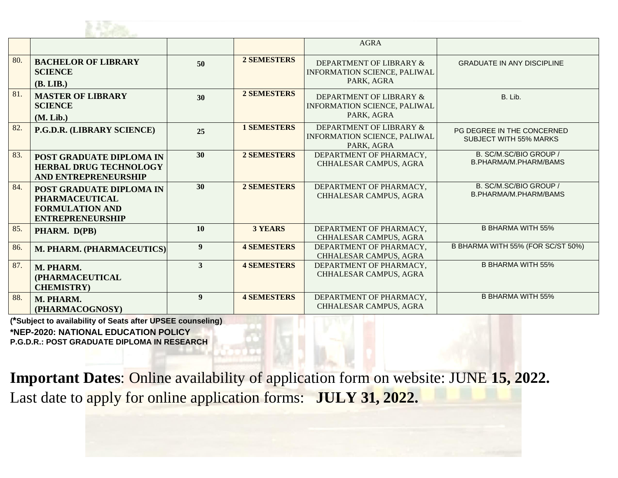

|     |                                                                                                        |                  |                                                                                                    | <b>AGRA</b>                                                                  |                                                             |
|-----|--------------------------------------------------------------------------------------------------------|------------------|----------------------------------------------------------------------------------------------------|------------------------------------------------------------------------------|-------------------------------------------------------------|
| 80. | <b>BACHELOR OF LIBRARY</b><br><b>SCIENCE</b><br>(B. LIB.)                                              | 50               | <b>2 SEMESTERS</b>                                                                                 | DEPARTMENT OF LIBRARY &<br><b>INFORMATION SCIENCE, PALIWAL</b><br>PARK, AGRA | <b>GRADUATE IN ANY DISCIPLINE</b>                           |
| 81. | <b>MASTER OF LIBRARY</b><br><b>SCIENCE</b><br>(M. Lib.)                                                | 30               | <b>2 SEMESTERS</b><br>DEPARTMENT OF LIBRARY &<br><b>INFORMATION SCIENCE, PALIWAL</b><br>PARK, AGRA |                                                                              | B. Lib.                                                     |
| 82. | P.G.D.R. (LIBRARY SCIENCE)                                                                             | 25               | <b>1 SEMESTERS</b>                                                                                 | DEPARTMENT OF LIBRARY &<br>INFORMATION SCIENCE, PALIWAL<br>PARK, AGRA        | PG DEGREE IN THE CONCERNED<br><b>SUBJECT WITH 55% MARKS</b> |
| 83. | POST GRADUATE DIPLOMA IN<br><b>HERBAL DRUG TECHNOLOGY</b><br>AND ENTREPRENEURSHIP                      | 30               | <b>2 SEMESTERS</b>                                                                                 | DEPARTMENT OF PHARMACY,<br>CHHALESAR CAMPUS, AGRA                            | B. SC/M.SC/BIO GROUP /<br>B.PHARMA/M.PHARM/BAMS             |
| 84. | POST GRADUATE DIPLOMA IN<br><b>PHARMACEUTICAL</b><br><b>FORMULATION AND</b><br><b>ENTREPRENEURSHIP</b> | 30               | <b>2 SEMESTERS</b>                                                                                 | DEPARTMENT OF PHARMACY,<br>CHHALESAR CAMPUS, AGRA                            | B. SC/M.SC/BIO GROUP /<br>B.PHARMA/M.PHARM/BAMS             |
| 85. | PHARM. D(PB)                                                                                           | 10               | <b>3 YEARS</b>                                                                                     | DEPARTMENT OF PHARMACY,<br><b>CHHALESAR CAMPUS, AGRA</b>                     | <b>B BHARMA WITH 55%</b>                                    |
| 86. | M. PHARM. (PHARMACEUTICS)                                                                              | $\boldsymbol{9}$ | <b>4 SEMESTERS</b>                                                                                 | DEPARTMENT OF PHARMACY,<br>CHHALESAR CAMPUS, AGRA                            | B BHARMA WITH 55% (FOR SC/ST 50%)                           |
| 87. | M. PHARM.<br>(PHARMACEUTICAL<br><b>CHEMISTRY</b> )                                                     | $\mathbf{3}$     | <b>4 SEMESTERS</b>                                                                                 | DEPARTMENT OF PHARMACY,<br>CHHALESAR CAMPUS, AGRA                            | <b>B BHARMA WITH 55%</b>                                    |
| 88. | M. PHARM.<br>(PHARMACOGNOSY)                                                                           | $\boldsymbol{9}$ | <b>4 SEMESTERS</b>                                                                                 | DEPARTMENT OF PHARMACY,<br>CHHALESAR CAMPUS, AGRA                            | <b>B BHARMA WITH 55%</b>                                    |

**(\*Subject to availability of Seats after UPSEE counseling) \*NEP-2020: NATIONAL EDUCATION POLICY P.G.D.R.: POST GRADUATE DIPLOMA IN RESEARCH**

**Important Dates**: Online availability of application form on website: JUNE **15, 2022.** Last date to apply for online application forms: **JULY 31, 2022.**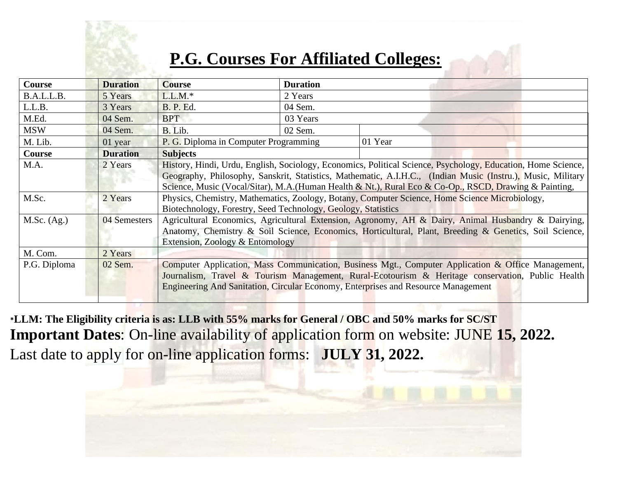

## **P.G. Courses For Affiliated Colleges:**

| <b>Course</b> | <b>Duration</b> | <b>Course</b>                                                                                                                                                                                                                                                                                                                         | <b>Duration</b> |         |  |  |  |
|---------------|-----------------|---------------------------------------------------------------------------------------------------------------------------------------------------------------------------------------------------------------------------------------------------------------------------------------------------------------------------------------|-----------------|---------|--|--|--|
| B.A.L.L.B.    | 5 Years         | $L.L.M.*$                                                                                                                                                                                                                                                                                                                             | 2 Years         |         |  |  |  |
| L.L.B.        | 3 Years         | <b>B. P. Ed.</b>                                                                                                                                                                                                                                                                                                                      | 04 Sem.         |         |  |  |  |
| M.Ed.         | 04 Sem.         | <b>BPT</b>                                                                                                                                                                                                                                                                                                                            | 03 Years        |         |  |  |  |
| <b>MSW</b>    | 04 Sem.         | B. Lib.                                                                                                                                                                                                                                                                                                                               | 02 Sem.         |         |  |  |  |
| M. Lib.       | 01 year         | P. G. Diploma in Computer Programming                                                                                                                                                                                                                                                                                                 |                 | 01 Year |  |  |  |
| Course        | <b>Duration</b> | <b>Subjects</b>                                                                                                                                                                                                                                                                                                                       |                 |         |  |  |  |
| M.A.          | 2 Years         | History, Hindi, Urdu, English, Sociology, Economics, Political Science, Psychology, Education, Home Science,<br>Geography, Philosophy, Sanskrit, Statistics, Mathematic, A.I.H.C., (Indian Music (Instru.), Music, Military<br>Science, Music (Vocal/Sitar), M.A. (Human Health & Nt.), Rural Eco & Co-Op., RSCD, Drawing & Painting, |                 |         |  |  |  |
| M.Sc.         | 2 Years         | Physics, Chemistry, Mathematics, Zoology, Botany, Computer Science, Home Science Microbiology,<br>Biotechnology, Forestry, Seed Technology, Geology, Statistics                                                                                                                                                                       |                 |         |  |  |  |
| M.Sc. (Ag.)   | 04 Semesters    | Agricultural Economics, Agricultural Extension, Agronomy, AH & Dairy, Animal Husbandry & Dairying,<br>Anatomy, Chemistry & Soil Science, Economics, Horticultural, Plant, Breeding & Genetics, Soil Science,<br>Extension, Zoology & Entomology                                                                                       |                 |         |  |  |  |
| M. Com.       | 2 Years         |                                                                                                                                                                                                                                                                                                                                       |                 |         |  |  |  |
| P.G. Diploma  | 02 Sem.         | Computer Application, Mass Communication, Business Mgt., Computer Application & Office Management,<br>Journalism, Travel & Tourism Management, Rural-Ecotourism & Heritage conservation, Public Health<br>Engineering And Sanitation, Circular Economy, Enterprises and Resource Management                                           |                 |         |  |  |  |

**\*LLM: The Eligibility criteria is as: LLB with 55% marks for General / OBC and 50% marks for SC/ST Important Dates**: On-line availability of application form on website: JUNE **15, 2022.** Last date to apply for on-line application forms: **JULY 31, 2022.**